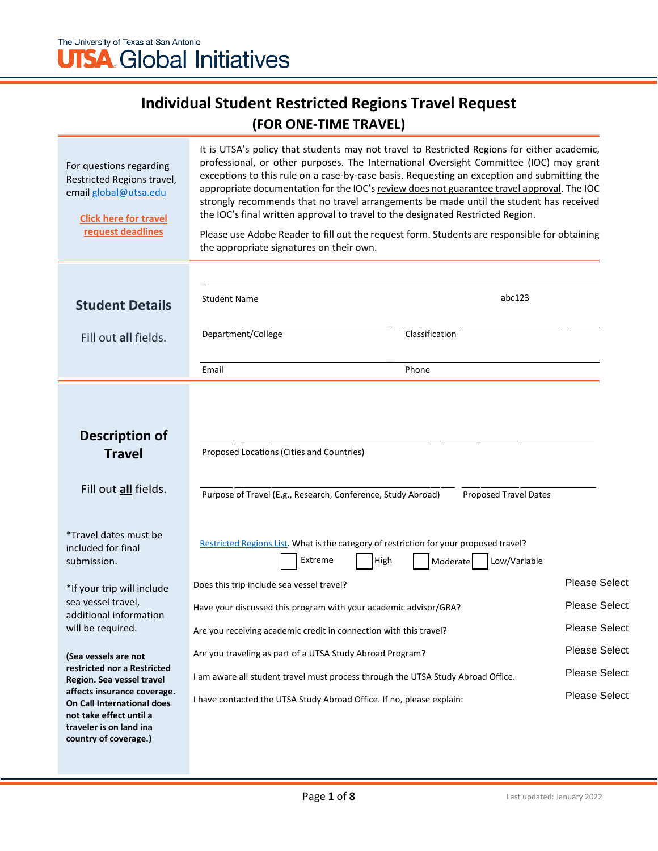# **UTSA** Global Initiatives

## **Individual Student Restricted Regions Travel Request (FOR ONE-TIME TRAVEL)**

| For questions regarding<br>Restricted Regions travel,<br>email global@utsa.edu<br><b>Click here for travel</b><br>request deadlines      | It is UTSA's policy that students may not travel to Restricted Regions for either academic,<br>professional, or other purposes. The International Oversight Committee (IOC) may grant<br>exceptions to this rule on a case-by-case basis. Requesting an exception and submitting the<br>appropriate documentation for the IOC's review does not guarantee travel approval. The IOC<br>strongly recommends that no travel arrangements be made until the student has received<br>the IOC's final written approval to travel to the designated Restricted Region.<br>Please use Adobe Reader to fill out the request form. Students are responsible for obtaining<br>the appropriate signatures on their own. |                              |                      |
|------------------------------------------------------------------------------------------------------------------------------------------|-------------------------------------------------------------------------------------------------------------------------------------------------------------------------------------------------------------------------------------------------------------------------------------------------------------------------------------------------------------------------------------------------------------------------------------------------------------------------------------------------------------------------------------------------------------------------------------------------------------------------------------------------------------------------------------------------------------|------------------------------|----------------------|
|                                                                                                                                          | <b>Student Name</b>                                                                                                                                                                                                                                                                                                                                                                                                                                                                                                                                                                                                                                                                                         | abc123                       |                      |
| <b>Student Details</b>                                                                                                                   |                                                                                                                                                                                                                                                                                                                                                                                                                                                                                                                                                                                                                                                                                                             |                              |                      |
| Fill out <i>all</i> fields.                                                                                                              | Department/College                                                                                                                                                                                                                                                                                                                                                                                                                                                                                                                                                                                                                                                                                          | Classification               |                      |
|                                                                                                                                          | Email                                                                                                                                                                                                                                                                                                                                                                                                                                                                                                                                                                                                                                                                                                       | Phone                        |                      |
| Description of<br><b>Travel</b><br>Fill out all fields.                                                                                  | Proposed Locations (Cities and Countries)<br>Purpose of Travel (E.g., Research, Conference, Study Abroad)                                                                                                                                                                                                                                                                                                                                                                                                                                                                                                                                                                                                   | <b>Proposed Travel Dates</b> |                      |
| *Travel dates must be<br>included for final<br>submission.                                                                               | Restricted Regions List. What is the category of restriction for your proposed travel?<br>Extreme<br>High                                                                                                                                                                                                                                                                                                                                                                                                                                                                                                                                                                                                   | Low/Variable<br>Moderate     | <b>Please Select</b> |
| *If your trip will include<br>sea vessel travel,                                                                                         | Does this trip include sea vessel travel?                                                                                                                                                                                                                                                                                                                                                                                                                                                                                                                                                                                                                                                                   |                              | <b>Please Select</b> |
| additional information<br>will be required.                                                                                              | Have your discussed this program with your academic advisor/GRA?<br>Are you receiving academic credit in connection with this travel?                                                                                                                                                                                                                                                                                                                                                                                                                                                                                                                                                                       |                              | <b>Please Select</b> |
| (Sea vessels are not                                                                                                                     | Are you traveling as part of a UTSA Study Abroad Program?                                                                                                                                                                                                                                                                                                                                                                                                                                                                                                                                                                                                                                                   |                              | <b>Please Select</b> |
| restricted nor a Restricted<br>Region. Sea vessel travel                                                                                 | I am aware all student travel must process through the UTSA Study Abroad Office.                                                                                                                                                                                                                                                                                                                                                                                                                                                                                                                                                                                                                            |                              | <b>Please Select</b> |
| affects insurance coverage.<br>On Call International does<br>not take effect until a<br>traveler is on land ina<br>country of coverage.) | I have contacted the UTSA Study Abroad Office. If no, please explain:                                                                                                                                                                                                                                                                                                                                                                                                                                                                                                                                                                                                                                       |                              | <b>Please Select</b> |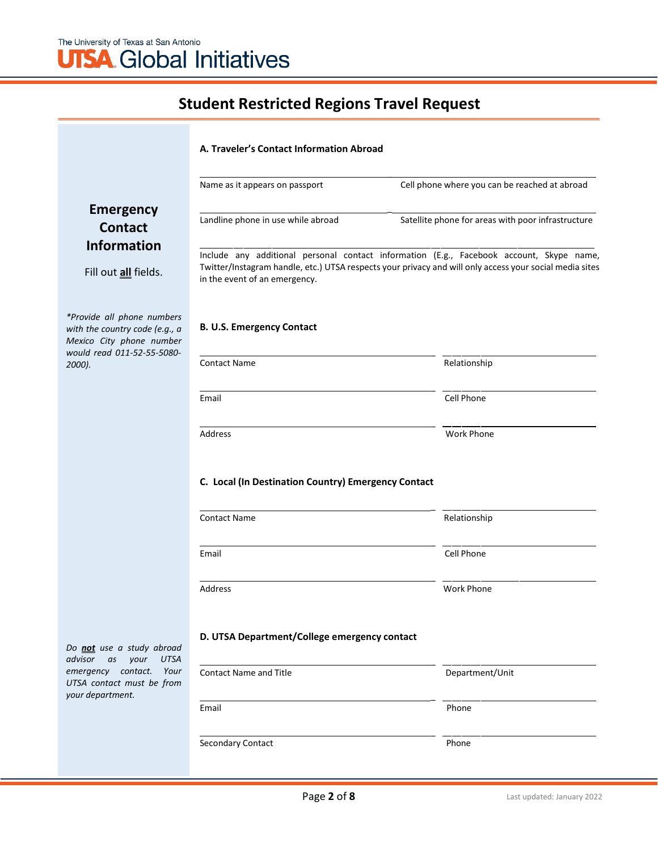|                                                                                                                        | A. Traveler's Contact Information Abroad                                                                                                                                                                                             |                                                    |  |  |
|------------------------------------------------------------------------------------------------------------------------|--------------------------------------------------------------------------------------------------------------------------------------------------------------------------------------------------------------------------------------|----------------------------------------------------|--|--|
|                                                                                                                        | Name as it appears on passport                                                                                                                                                                                                       | Cell phone where you can be reached at abroad      |  |  |
| <b>Emergency</b><br><b>Contact</b>                                                                                     | Landline phone in use while abroad                                                                                                                                                                                                   | Satellite phone for areas with poor infrastructure |  |  |
| <b>Information</b><br>Fill out all fields.                                                                             | Include any additional personal contact information (E.g., Facebook account, Skype name,<br>Twitter/Instagram handle, etc.) UTSA respects your privacy and will only access your social media sites<br>in the event of an emergency. |                                                    |  |  |
| *Provide all phone numbers<br>with the country code (e.g., a<br>Mexico City phone number<br>would read 011-52-55-5080- | <b>B. U.S. Emergency Contact</b>                                                                                                                                                                                                     |                                                    |  |  |
| 2000).                                                                                                                 | <b>Contact Name</b>                                                                                                                                                                                                                  | Relationship                                       |  |  |
|                                                                                                                        | Email                                                                                                                                                                                                                                | Cell Phone                                         |  |  |
|                                                                                                                        | Address                                                                                                                                                                                                                              | <b>Work Phone</b>                                  |  |  |
|                                                                                                                        | C. Local (In Destination Country) Emergency Contact                                                                                                                                                                                  |                                                    |  |  |
|                                                                                                                        | <b>Contact Name</b>                                                                                                                                                                                                                  | Relationship                                       |  |  |
|                                                                                                                        | Email                                                                                                                                                                                                                                | Cell Phone                                         |  |  |
|                                                                                                                        | Address                                                                                                                                                                                                                              | <b>Work Phone</b>                                  |  |  |
| Do not use a study abroad<br>advisor<br>your<br><b>UTSA</b><br>as                                                      | D. UTSA Department/College emergency contact                                                                                                                                                                                         |                                                    |  |  |
| emergency contact.<br>Your<br>UTSA contact must be from<br>your department.                                            | <b>Contact Name and Title</b>                                                                                                                                                                                                        | Department/Unit                                    |  |  |
|                                                                                                                        | Email                                                                                                                                                                                                                                | Phone                                              |  |  |
|                                                                                                                        | Secondary Contact                                                                                                                                                                                                                    | Phone                                              |  |  |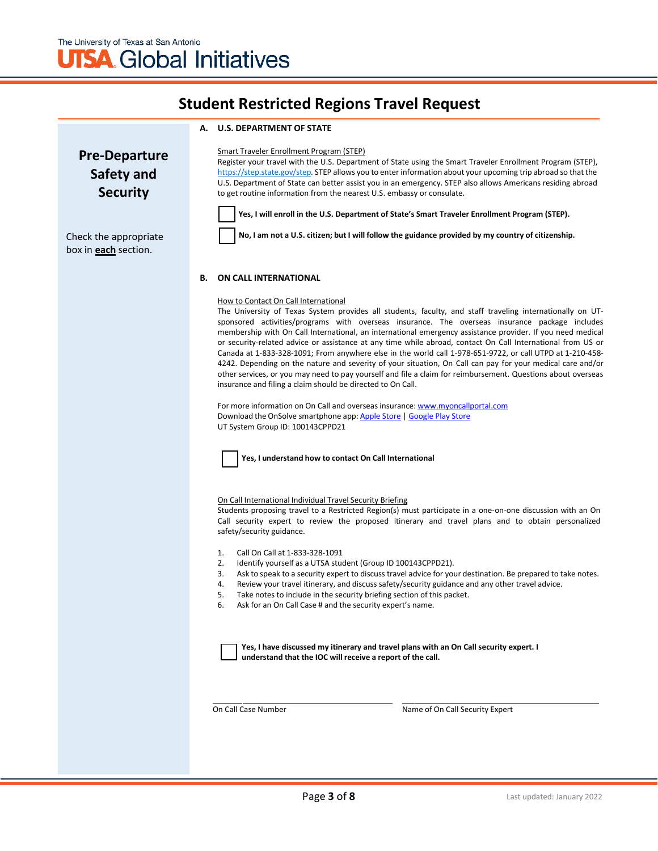#### **A. U.S. DEPARTMENT OF STATE**

**Pre-Departure Safety and Security**

Check the appropriate box in **each** section.

Smart Traveler Enrollment Program (STEP)

Register your travel with the U.S. Department of State using the Smart Traveler Enrollment Program (STEP), [https://step.state.gov/step. S](https://step.state.gov/step)TEP allows you to enter information about your upcoming trip abroad so that the U.S. Department of State can better assist you in an emergency. STEP also allows Americans residing abroad to get routine information from the nearest U.S. embassy or consulate.

**Yes, I will enroll in the U.S. Department of State's Smart Traveler Enrollment Program (STEP).**

**No, I am not a U.S. citizen; but I will follow the guidance provided by my country of citizenship.**

#### **B. ON CALL INTERNATIONAL**

#### How to Contact On Call International

The University of Texas System provides all students, faculty, and staff traveling internationally on UTsponsored activities/programs with overseas insurance. The overseas insurance package includes membership with On Call International, an international emergency assistance provider. If you need medical or security-related advice or assistance at any time while abroad, contact On Call International from US or Canada at 1-833-328-1091; From anywhere else in the world call 1-978-651-9722, or call UTPD at 1-210-458- 4242. Depending on the nature and severity of your situation, On Call can pay for your medical care and/or other services, or you may need to pay yourself and file a claim for reimbursement. Questions about overseas insurance and filing a claim should be directed to On Call.

For more information on On Call and overseas insurance: [www.myoncallportal.com](http://www.myoncallportal.com/) Download the OnSolve smartphone app: [Apple Store](https://apps.apple.com/us/app/onsolve/id1487868963) [| Google Play Store](https://play.google.com/store/apps/details?id=com.onsolve.alerting&hl=en_US&gl=US) UT System Group ID: 100143CPPD21



#### On Call International Individual Travel Security Briefing

Students proposing travel to a Restricted Region(s) must participate in a one-on-one discussion with an On Call security expert to review the proposed itinerary and travel plans and to obtain personalized safety/security guidance.

- 1. Call On Call at 1-833-328-1091
- 2. Identify yourself as a UTSA student (Group ID 100143CPPD21).
- 3. Ask to speak to a security expert to discuss travel advice for your destination. Be prepared to take notes.
- 4. Review your travel itinerary, and discuss safety/security guidance and any other travel advice.
- 5. Take notes to include in the security briefing section of this packet.
- 6. Ask for an On Call Case # and the security expert's name.

**Yes, I have discussed my itinerary and travel plans with an On Call security expert. I understand that the IOC will receive a report of the call.**

On Call Case Number Name of On Call Security Expert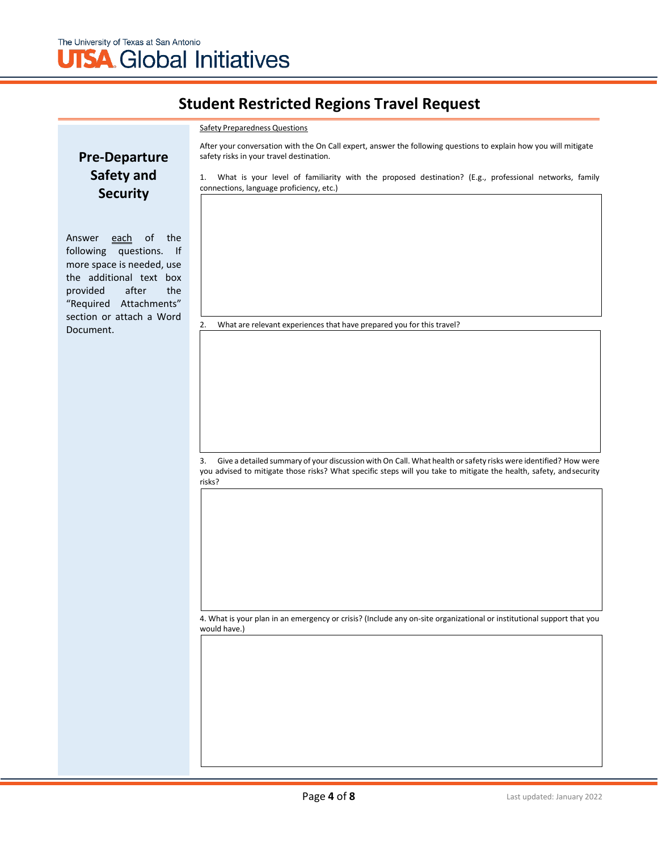#### Safety Preparedness Questions

**Pre-Departure Safety and Security**

Answer each of the following questions. If more space is needed, use the additional text box provided after the "Required Attachments" section or attach a Word Document.

After your conversation with the On Call expert, answer the following questions to explain how you will mitigate safety risks in your travel destination.

1. What is your level of familiarity with the proposed destination? (E.g., professional networks, family connections, language proficiency, etc.)

2. What are relevant experiences that have prepared you for this travel?

3. Give a detailed summary of your discussion with On Call. What health orsafety risks were identified? How were you advised to mitigate those risks? What specific steps will you take to mitigate the health, safety, andsecurity risks?

4. What is your plan in an emergency or crisis? (Include any on-site organizational or institutional support that you would have.)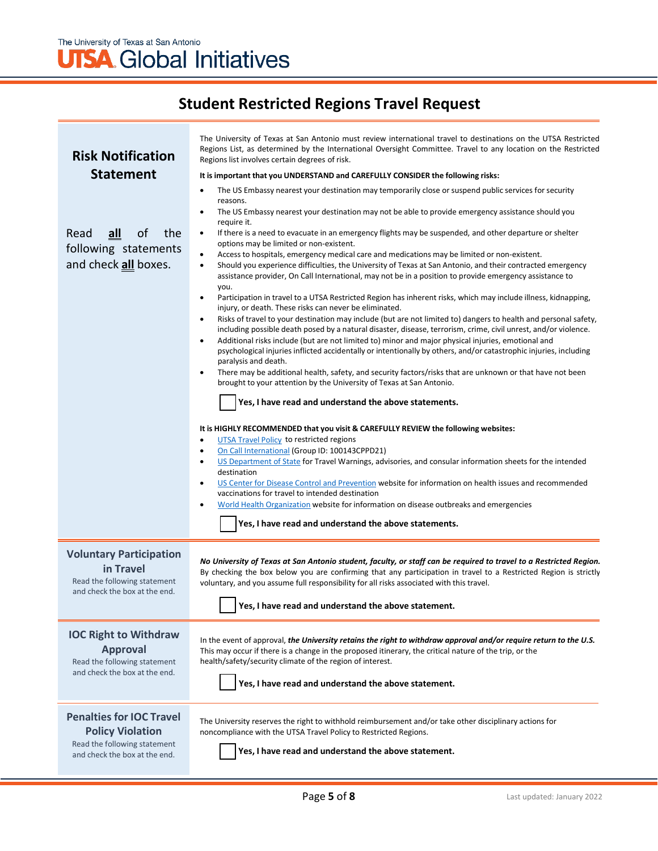# **UTSA** Global Initiatives

| <b>Risk Notification</b><br><b>Statement</b><br>of<br>the<br>Read<br><u>all</u><br>following statements<br>and check all boxes. | The University of Texas at San Antonio must review international travel to destinations on the UTSA Restricted<br>Regions List, as determined by the International Oversight Committee. Travel to any location on the Restricted<br>Regions list involves certain degrees of risk.<br>It is important that you UNDERSTAND and CAREFULLY CONSIDER the following risks:<br>The US Embassy nearest your destination may temporarily close or suspend public services for security<br>٠<br>reasons.<br>The US Embassy nearest your destination may not be able to provide emergency assistance should you<br>$\bullet$<br>require it.<br>If there is a need to evacuate in an emergency flights may be suspended, and other departure or shelter<br>$\bullet$<br>options may be limited or non-existent.<br>Access to hospitals, emergency medical care and medications may be limited or non-existent.<br>$\bullet$<br>Should you experience difficulties, the University of Texas at San Antonio, and their contracted emergency<br>$\bullet$<br>assistance provider, On Call International, may not be in a position to provide emergency assistance to<br>you.<br>Participation in travel to a UTSA Restricted Region has inherent risks, which may include illness, kidnapping,<br>$\bullet$<br>injury, or death. These risks can never be eliminated.<br>Risks of travel to your destination may include (but are not limited to) dangers to health and personal safety,<br>٠<br>including possible death posed by a natural disaster, disease, terrorism, crime, civil unrest, and/or violence.<br>Additional risks include (but are not limited to) minor and major physical injuries, emotional and<br>٠<br>psychological injuries inflicted accidentally or intentionally by others, and/or catastrophic injuries, including<br>paralysis and death.<br>There may be additional health, safety, and security factors/risks that are unknown or that have not been<br>$\bullet$<br>brought to your attention by the University of Texas at San Antonio.<br>Yes, I have read and understand the above statements.<br>It is HIGHLY RECOMMENDED that you visit & CAREFULLY REVIEW the following websites:<br><b>UTSA Travel Policy to restricted regions</b><br>$\bullet$<br>On Call International (Group ID: 100143CPPD21)<br>٠<br>US Department of State for Travel Warnings, advisories, and consular information sheets for the intended<br>٠<br>destination<br>US Center for Disease Control and Prevention website for information on health issues and recommended<br>$\bullet$<br>vaccinations for travel to intended destination<br>World Health Organization website for information on disease outbreaks and emergencies<br>$\bullet$<br>Yes, I have read and understand the above statements. |  |
|---------------------------------------------------------------------------------------------------------------------------------|-------------------------------------------------------------------------------------------------------------------------------------------------------------------------------------------------------------------------------------------------------------------------------------------------------------------------------------------------------------------------------------------------------------------------------------------------------------------------------------------------------------------------------------------------------------------------------------------------------------------------------------------------------------------------------------------------------------------------------------------------------------------------------------------------------------------------------------------------------------------------------------------------------------------------------------------------------------------------------------------------------------------------------------------------------------------------------------------------------------------------------------------------------------------------------------------------------------------------------------------------------------------------------------------------------------------------------------------------------------------------------------------------------------------------------------------------------------------------------------------------------------------------------------------------------------------------------------------------------------------------------------------------------------------------------------------------------------------------------------------------------------------------------------------------------------------------------------------------------------------------------------------------------------------------------------------------------------------------------------------------------------------------------------------------------------------------------------------------------------------------------------------------------------------------------------------------------------------------------------------------------------------------------------------------------------------------------------------------------------------------------------------------------------------------------------------------------------------------------------------------------------------------------------------------------------------------------------------------------------------------------------------------------------------------------------------------------------------------------------------------------------------------------------------------------------|--|
| <b>Voluntary Participation</b>                                                                                                  | No University of Texas at San Antonio student, faculty, or staff can be required to travel to a Restricted Region.                                                                                                                                                                                                                                                                                                                                                                                                                                                                                                                                                                                                                                                                                                                                                                                                                                                                                                                                                                                                                                                                                                                                                                                                                                                                                                                                                                                                                                                                                                                                                                                                                                                                                                                                                                                                                                                                                                                                                                                                                                                                                                                                                                                                                                                                                                                                                                                                                                                                                                                                                                                                                                                                                          |  |
| in Travel                                                                                                                       | By checking the box below you are confirming that any participation in travel to a Restricted Region is strictly                                                                                                                                                                                                                                                                                                                                                                                                                                                                                                                                                                                                                                                                                                                                                                                                                                                                                                                                                                                                                                                                                                                                                                                                                                                                                                                                                                                                                                                                                                                                                                                                                                                                                                                                                                                                                                                                                                                                                                                                                                                                                                                                                                                                                                                                                                                                                                                                                                                                                                                                                                                                                                                                                            |  |
| Read the following statement                                                                                                    | voluntary, and you assume full responsibility for all risks associated with this travel.                                                                                                                                                                                                                                                                                                                                                                                                                                                                                                                                                                                                                                                                                                                                                                                                                                                                                                                                                                                                                                                                                                                                                                                                                                                                                                                                                                                                                                                                                                                                                                                                                                                                                                                                                                                                                                                                                                                                                                                                                                                                                                                                                                                                                                                                                                                                                                                                                                                                                                                                                                                                                                                                                                                    |  |
| and check the box at the end.                                                                                                   | Yes, I have read and understand the above statement.                                                                                                                                                                                                                                                                                                                                                                                                                                                                                                                                                                                                                                                                                                                                                                                                                                                                                                                                                                                                                                                                                                                                                                                                                                                                                                                                                                                                                                                                                                                                                                                                                                                                                                                                                                                                                                                                                                                                                                                                                                                                                                                                                                                                                                                                                                                                                                                                                                                                                                                                                                                                                                                                                                                                                        |  |
| <b>IOC Right to Withdraw</b>                                                                                                    | In the event of approval, the University retains the right to withdraw approval and/or require return to the U.S.                                                                                                                                                                                                                                                                                                                                                                                                                                                                                                                                                                                                                                                                                                                                                                                                                                                                                                                                                                                                                                                                                                                                                                                                                                                                                                                                                                                                                                                                                                                                                                                                                                                                                                                                                                                                                                                                                                                                                                                                                                                                                                                                                                                                                                                                                                                                                                                                                                                                                                                                                                                                                                                                                           |  |
| <b>Approval</b>                                                                                                                 | This may occur if there is a change in the proposed itinerary, the critical nature of the trip, or the                                                                                                                                                                                                                                                                                                                                                                                                                                                                                                                                                                                                                                                                                                                                                                                                                                                                                                                                                                                                                                                                                                                                                                                                                                                                                                                                                                                                                                                                                                                                                                                                                                                                                                                                                                                                                                                                                                                                                                                                                                                                                                                                                                                                                                                                                                                                                                                                                                                                                                                                                                                                                                                                                                      |  |
| Read the following statement                                                                                                    | health/safety/security climate of the region of interest.                                                                                                                                                                                                                                                                                                                                                                                                                                                                                                                                                                                                                                                                                                                                                                                                                                                                                                                                                                                                                                                                                                                                                                                                                                                                                                                                                                                                                                                                                                                                                                                                                                                                                                                                                                                                                                                                                                                                                                                                                                                                                                                                                                                                                                                                                                                                                                                                                                                                                                                                                                                                                                                                                                                                                   |  |
| and check the box at the end.                                                                                                   | Yes, I have read and understand the above statement.                                                                                                                                                                                                                                                                                                                                                                                                                                                                                                                                                                                                                                                                                                                                                                                                                                                                                                                                                                                                                                                                                                                                                                                                                                                                                                                                                                                                                                                                                                                                                                                                                                                                                                                                                                                                                                                                                                                                                                                                                                                                                                                                                                                                                                                                                                                                                                                                                                                                                                                                                                                                                                                                                                                                                        |  |
| <b>Penalties for IOC Travel</b><br><b>Policy Violation</b><br>Read the following statement<br>and check the box at the end.     | The University reserves the right to withhold reimbursement and/or take other disciplinary actions for<br>noncompliance with the UTSA Travel Policy to Restricted Regions.<br>Yes, I have read and understand the above statement.                                                                                                                                                                                                                                                                                                                                                                                                                                                                                                                                                                                                                                                                                                                                                                                                                                                                                                                                                                                                                                                                                                                                                                                                                                                                                                                                                                                                                                                                                                                                                                                                                                                                                                                                                                                                                                                                                                                                                                                                                                                                                                                                                                                                                                                                                                                                                                                                                                                                                                                                                                          |  |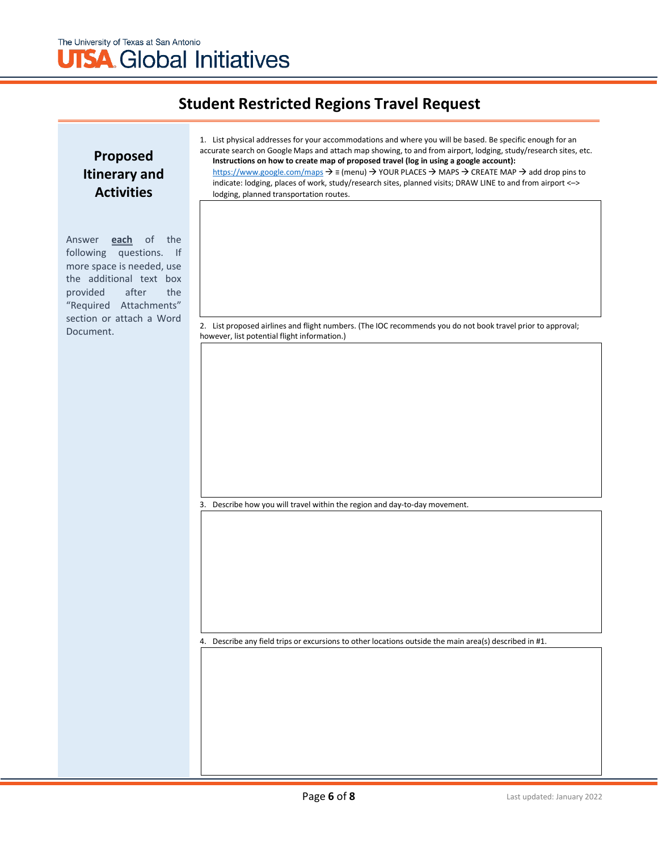### **Proposed Itinerary and Activities**

Answer **each** of the following questions. If more space is needed, use the additional text box provided after the "Required Attachments" section or attach a Word Document.

| 1. List physical addresses for your accommodations and where you will be based. Be specific enough for an                                                    |
|--------------------------------------------------------------------------------------------------------------------------------------------------------------|
| accurate search on Google Maps and attach map showing, to and from airport, lodging, study/research sites, etc.                                              |
| Instructions on how to create map of proposed travel (log in using a google account):                                                                        |
| https://www.google.com/maps $\rightarrow \equiv$ (menu) $\rightarrow$ YOUR PLACES $\rightarrow$ MAPS $\rightarrow$ CREATE MAP $\rightarrow$ add drop pins to |
| indicate: lodging, places of work, study/research sites, planned visits; DRAW LINE to and from airport <->                                                   |
| lodging, planned transportation routes.                                                                                                                      |

2. List proposed airlines and flight numbers. (The IOC recommends you do not book travel prior to approval; however, list potential flight information.)

3. Describe how you will travel within the region and day-to-day movement.

4. Describe any field trips or excursions to other locations outside the main area(s) described in #1.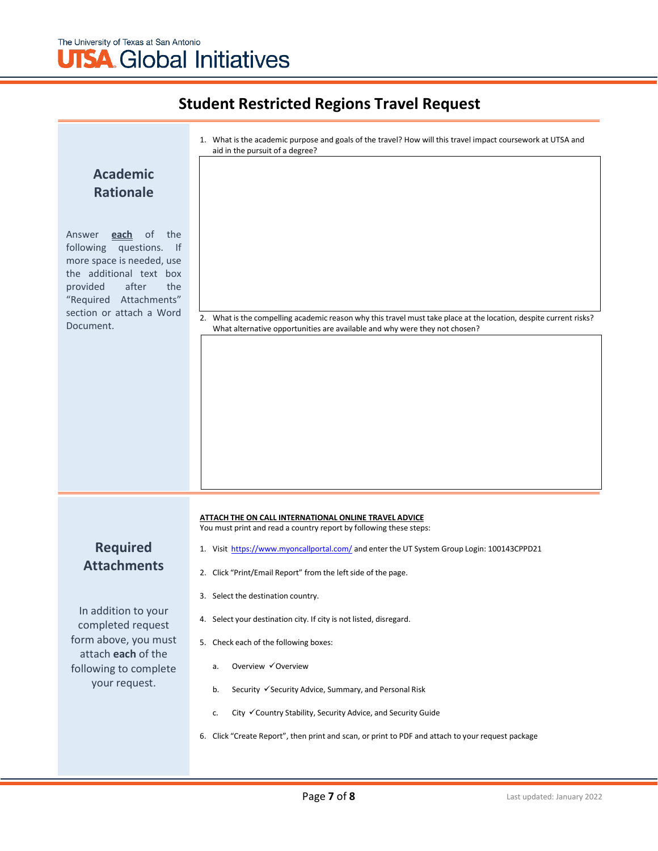## The University of Texas at San Antonio **UTSA** Global Initiatives

|                                                                                                                                                                                                                                      | 1. What is the academic purpose and goals of the travel? How will this travel impact coursework at UTSA and                                                                                     |  |
|--------------------------------------------------------------------------------------------------------------------------------------------------------------------------------------------------------------------------------------|-------------------------------------------------------------------------------------------------------------------------------------------------------------------------------------------------|--|
|                                                                                                                                                                                                                                      | aid in the pursuit of a degree?                                                                                                                                                                 |  |
| <b>Academic</b>                                                                                                                                                                                                                      |                                                                                                                                                                                                 |  |
| <b>Rationale</b>                                                                                                                                                                                                                     |                                                                                                                                                                                                 |  |
|                                                                                                                                                                                                                                      |                                                                                                                                                                                                 |  |
| of<br>the<br>Answer<br><u>each</u><br>following<br>questions.<br>$\mathsf{H}$<br>more space is needed, use<br>the additional text box<br>after<br>the<br>provided<br>"Required Attachments"<br>section or attach a Word<br>Document. | 2. What is the compelling academic reason why this travel must take place at the location, despite current risks?<br>What alternative opportunities are available and why were they not chosen? |  |
|                                                                                                                                                                                                                                      |                                                                                                                                                                                                 |  |
|                                                                                                                                                                                                                                      | ATTACH THE ON CALL INTERNATIONAL ONLINE TRAVEL ADVICE                                                                                                                                           |  |
|                                                                                                                                                                                                                                      | You must print and read a country report by following these steps:                                                                                                                              |  |
| <b>Required</b><br><b>Attachments</b>                                                                                                                                                                                                | 1. Visit https://www.myoncallportal.com/ and enter the UT System Group Login: 100143CPPD21                                                                                                      |  |
|                                                                                                                                                                                                                                      | 2. Click "Print/Email Report" from the left side of the page.                                                                                                                                   |  |
|                                                                                                                                                                                                                                      | 3. Select the destination country.                                                                                                                                                              |  |
| In addition to your<br>completed request                                                                                                                                                                                             | 4. Select your destination city. If city is not listed, disregard.                                                                                                                              |  |
| form above, you must<br>attach each of the                                                                                                                                                                                           | 5. Check each of the following boxes:                                                                                                                                                           |  |
| following to complete                                                                                                                                                                                                                | Overview √Overview<br>a.                                                                                                                                                                        |  |
| your request.                                                                                                                                                                                                                        | Security √ Security Advice, Summary, and Personal Risk<br>b.                                                                                                                                    |  |
|                                                                                                                                                                                                                                      | City √Country Stability, Security Advice, and Security Guide<br>c.                                                                                                                              |  |
|                                                                                                                                                                                                                                      | 6. Click "Create Report", then print and scan, or print to PDF and attach to your request package                                                                                               |  |
|                                                                                                                                                                                                                                      |                                                                                                                                                                                                 |  |